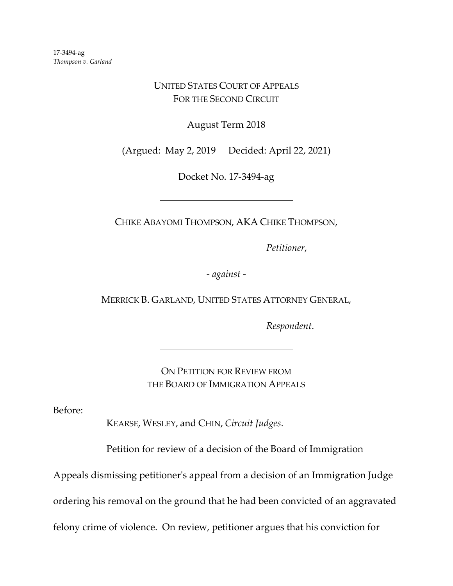## UNITED STATES COURT OF APPEALS FOR THE SECOND CIRCUIT

August Term 2018

(Argued: May 2, 2019 Decided: April 22, 2021)

Docket No. 17-3494-ag

CHIKE ABAYOMI THOMPSON, AKA CHIKE THOMPSON,

*Petitioner*,

*- against -*

MERRICK B. GARLAND, UNITED STATES ATTORNEY GENERAL,

*Respondent*.

ON PETITION FOR REVIEW FROM THE BOARD OF IMMIGRATION APPEALS

Before:

KEARSE, WESLEY, and CHIN, *Circuit Judges*.

Petition for review of a decision of the Board of Immigration

Appeals dismissing petitioner's appeal from a decision of an Immigration Judge

ordering his removal on the ground that he had been convicted of an aggravated

felony crime of violence. On review, petitioner argues that his conviction for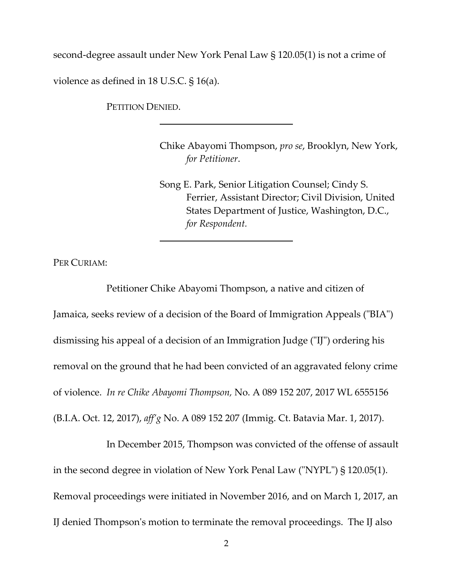second-degree assault under New York Penal Law § 120.05(1) is not a crime of violence as defined in 18 U.S.C. § 16(a).

PETITION DENIED.

Chike Abayomi Thompson, *pro se*, Brooklyn, New York, *for Petitioner*.

Song E. Park, Senior Litigation Counsel; Cindy S. Ferrier, Assistant Director; Civil Division, United States Department of Justice, Washington, D.C., *for Respondent.*

PER CURIAM:

Petitioner Chike Abayomi Thompson, a native and citizen of Jamaica, seeks review of a decision of the Board of Immigration Appeals ("BIA") dismissing his appeal of a decision of an Immigration Judge ("IJ") ordering his removal on the ground that he had been convicted of an aggravated felony crime of violence. *In re Chike Abayomi Thompson,* No. A 089 152 207, 2017 WL 6555156 (B.I.A. Oct. 12, 2017), *aff'g* No. A 089 152 207 (Immig. Ct. Batavia Mar. 1, 2017).

In December 2015, Thompson was convicted of the offense of assault in the second degree in violation of New York Penal Law ("NYPL") § 120.05(1). Removal proceedings were initiated in November 2016, and on March 1, 2017, an IJ denied Thompson's motion to terminate the removal proceedings. The IJ also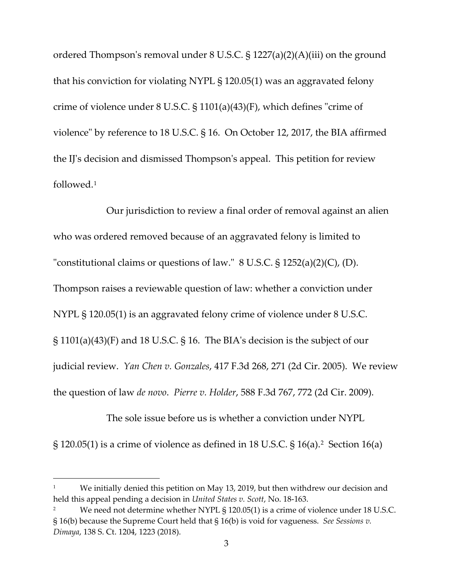ordered Thompson's removal under 8 U.S.C. § 1227(a)(2)(A)(iii) on the ground that his conviction for violating NYPL § 120.05(1) was an aggravated felony crime of violence under 8 U.S.C. § 1101(a)(43)(F), which defines "crime of violence" by reference to 18 U.S.C. § 16. On October 12, 2017, the BIA affirmed the IJ's decision and dismissed Thompson's appeal. This petition for review followed.[1](#page-2-0)

Our jurisdiction to review a final order of removal against an alien who was ordered removed because of an aggravated felony is limited to "constitutional claims or questions of law."  $8 \text{ U.S.C.}$   $\S 1252(a)(2)(C)$ , (D). Thompson raises a reviewable question of law: whether a conviction under NYPL § 120.05(1) is an aggravated felony crime of violence under 8 U.S.C. § 1101(a)(43)(F) and 18 U.S.C. § 16. The BIA's decision is the subject of our judicial review. *Yan Chen v. Gonzales*, 417 F.3d 268, 271 (2d Cir. 2005). We review the question of law *de novo*. *Pierre v. Holder*, 588 F.3d 767, 772 (2d Cir. 2009).

The sole issue before us is whether a conviction under NYPL  $\S$  120.05(1) is a crime of violence as defined in 18 U.S.C.  $\S$  16(a).<sup>2</sup> Section 16(a)

<span id="page-2-0"></span>We initially denied this petition on May 13, 2019, but then withdrew our decision and held this appeal pending a decision in *United States v. Scott*, No. 18-163.

<span id="page-2-1"></span>We need not determine whether NYPL § 120.05(1) is a crime of violence under 18 U.S.C. § 16(b) because the Supreme Court held that § 16(b) is void for vagueness. *See Sessions v. Dimaya*, 138 S. Ct. 1204, 1223 (2018).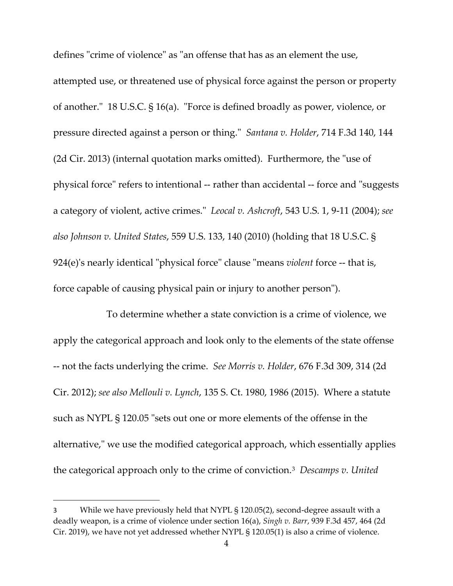defines "crime of violence" as "an offense that has as an element the use, attempted use, or threatened use of physical force against the person or property of another." 18 U.S.C. § 16(a). "Force is defined broadly as power, violence, or pressure directed against a person or thing." *Santana v. Holder*, 714 F.3d 140, 144 (2d Cir. 2013) (internal quotation marks omitted). Furthermore, the "use of physical force" refers to intentional -- rather than accidental -- force and "suggests a category of violent, active crimes." *Leocal v. Ashcroft*, 543 U.S. 1, 9-11 (2004); *see also Johnson v. United States*, 559 U.S. 133, 140 (2010) (holding that 18 U.S.C. § 924(e)'s nearly identical "physical force" clause "means *violent* force -- that is, force capable of causing physical pain or injury to another person").

To determine whether a state conviction is a crime of violence, we apply the categorical approach and look only to the elements of the state offense -- not the facts underlying the crime. *See Morris v. Holder*, 676 F.3d 309, 314 (2d Cir. 2012); *see also Mellouli v. Lynch*, 135 S. Ct. 1980, 1986 (2015). Where a statute such as NYPL § 120.05 "sets out one or more elements of the offense in the alternative," we use the modified categorical approach, which essentially applies the categorical approach only to the crime of conviction.[3](#page-3-0) *Descamps v. United* 

<span id="page-3-0"></span><sup>3</sup> While we have previously held that NYPL § 120.05(2), second-degree assault with a deadly weapon, is a crime of violence under section 16(a), *Singh v. Barr*, 939 F.3d 457, 464 (2d Cir. 2019), we have not yet addressed whether NYPL § 120.05(1) is also a crime of violence.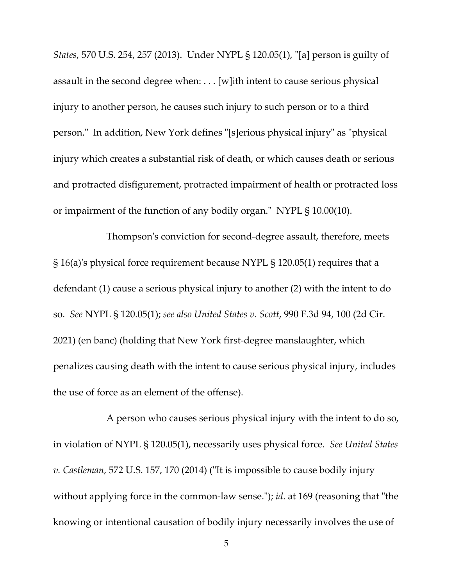*States*, 570 U.S. 254, 257 (2013). Under NYPL § 120.05(1), "[a] person is guilty of assault in the second degree when: . . . [w]ith intent to cause serious physical injury to another person, he causes such injury to such person or to a third person." In addition, New York defines "[s]erious physical injury" as "physical injury which creates a substantial risk of death, or which causes death or serious and protracted disfigurement, protracted impairment of health or protracted loss or impairment of the function of any bodily organ." NYPL § 10.00(10).

Thompson's conviction for second-degree assault, therefore, meets § 16(a)'s physical force requirement because NYPL § 120.05(1) requires that a defendant (1) cause a serious physical injury to another (2) with the intent to do so. *See* NYPL § 120.05(1); *see also United States v. Scott*, 990 F.3d 94, 100 (2d Cir. 2021) (en banc) (holding that New York first-degree manslaughter, which penalizes causing death with the intent to cause serious physical injury, includes the use of force as an element of the offense).

A person who causes serious physical injury with the intent to do so, in violation of NYPL § 120.05(1), necessarily uses physical force. *See United States v. Castleman*, 572 U.S. 157, 170 (2014) ("It is impossible to cause bodily injury without applying force in the common-law sense."); *id*. at 169 (reasoning that "the knowing or intentional causation of bodily injury necessarily involves the use of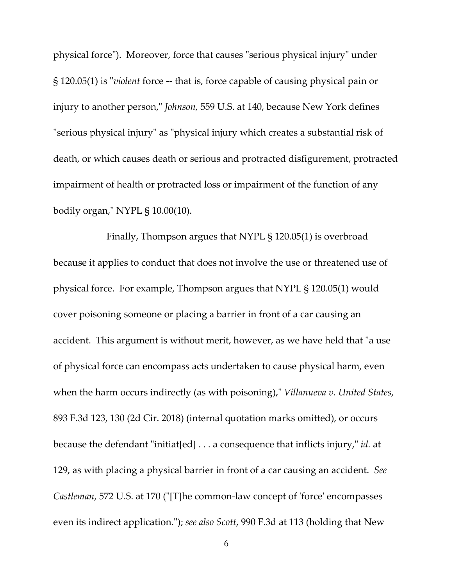physical force"). Moreover, force that causes "serious physical injury" under § 120.05(1) is "*violent* force -- that is, force capable of causing physical pain or injury to another person," *Johnson,* 559 U.S. at 140, because New York defines "serious physical injury" as "physical injury which creates a substantial risk of death, or which causes death or serious and protracted disfigurement, protracted impairment of health or protracted loss or impairment of the function of any bodily organ," NYPL § 10.00(10).

Finally, Thompson argues that NYPL § 120.05(1) is overbroad because it applies to conduct that does not involve the use or threatened use of physical force. For example, Thompson argues that NYPL § 120.05(1) would cover poisoning someone or placing a barrier in front of a car causing an accident. This argument is without merit, however, as we have held that "a use of physical force can encompass acts undertaken to cause physical harm, even when the harm occurs indirectly (as with poisoning)," *Villanueva v. United States*, 893 F.3d 123, 130 (2d Cir. 2018) (internal quotation marks omitted), or occurs because the defendant "initiat[ed] . . . a consequence that inflicts injury," *id.* at 129, as with placing a physical barrier in front of a car causing an accident. *See Castleman*, 572 U.S. at 170 ("[T]he common-law concept of 'force' encompasses even its indirect application."); *see also Scott*, 990 F.3d at 113 (holding that New